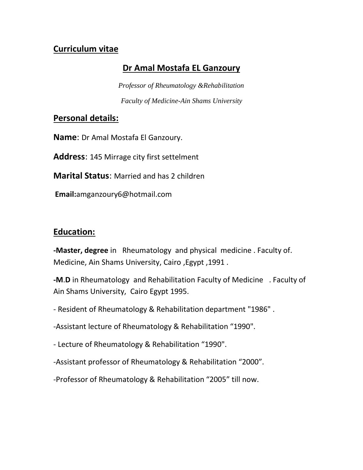# **Curriculum vitae**

# **Dr Amal Mostafa EL Ganzoury**

*Professor of Rheumatology &Rehabilitation Faculty of Medicine-Ain Shams University*

## **Personal details:**

**Name**: Dr Amal Mostafa El Ganzoury.

**Address**: 145 Mirrage city first settelment

**Marital Status**: Married and has 2 children

**Email:**amganzoury6@hotmail.com

# **Education:**

**-Master, degree** in Rheumatology and physical medicine . Faculty of. Medicine, Ain Shams University, Cairo ,Egypt ,1991 .

**-M**.**D** in Rheumatology and Rehabilitation Faculty of Medicine . Faculty of Ain Shams University, Cairo Egypt 1995.

- Resident of Rheumatology & Rehabilitation department "1986" .

-Assistant lecture of Rheumatology & Rehabilitation "1990".

- Lecture of Rheumatology & Rehabilitation "1990".

-Assistant professor of Rheumatology & Rehabilitation "2000".

-Professor of Rheumatology & Rehabilitation "2005" till now.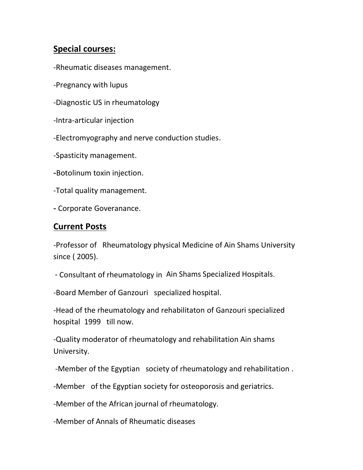# **Special courses:**

- -Rheumatic diseases management.
- -Pregnancy with lupus
- -Diagnostic US in rheumatology
- -Intra-articular injection
- -Electromyography and nerve conduction studies.
- -Spasticity management.
- -Botolinum toxin injection.
- -Total quality management.
- Corporate Goveranance.

## **Current Posts**

-Professor of Rheumatology physical Medicine of Ain Shams University since ( 2005).

*-* Consultant of rheumatology in Ain Shams Specialized Hospitals.

-Board Member of Ganzouri specialized hospital.

-Head of the rheumatology and rehabilitaton of Ganzouri specialized hospital 1999 till now.

-Quality moderator of rheumatology and rehabilitation Ain shams University.

-Member of the Egyptian society of rheumatology and rehabilitation .

-Member of the Egyptian society for osteoporosis and geriatrics.

-Member of the African journal of rheumatology.

-Member of Annals of Rheumatic diseases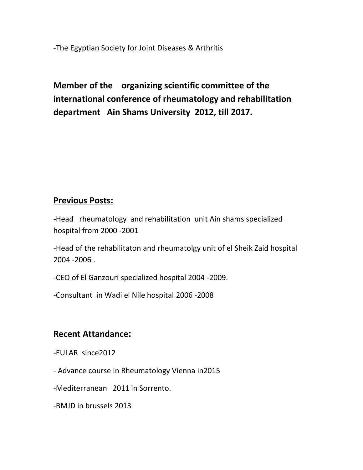-The Egyptian Society for Joint Diseases & Arthritis

**Member of the organizing scientific committee of the international conference of rheumatology and rehabilitation department Ain Shams University 2012, till 2017.** 

## **Previous Posts:**

-Head rheumatology and rehabilitation unit Ain shams specialized hospital from 2000 -2001

-Head of the rehabilitaton and rheumatolgy unit of el Sheik Zaid hospital 2004 -2006 .

-CEO of El Ganzouri specialized hospital 2004 -2009.

-Consultant in Wadi el Nile hospital 2006 -2008

## **Recent Attandance:**

-EULAR since2012

- Advance course in Rheumatology Vienna in2015

-Mediterranean 2011 in Sorrento.

-BMJD in brussels 2013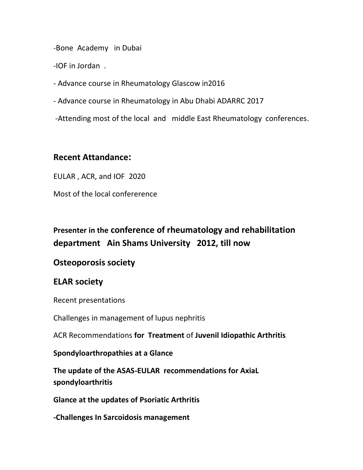-Bone Academy in Dubai

-IOF in Jordan .

- Advance course in Rheumatology Glascow in2016

- Advance course in Rheumatology in Abu Dhabi ADARRC 2017

-Attending most of the local and middle East Rheumatology conferences.

## **Recent Attandance:**

EULAR , ACR, and IOF 2020

Most of the local confererence

# **Presenter in the conference of rheumatology and rehabilitation department Ain Shams University 2012, till now**

## **Osteoporosis society**

## **ELAR society**

Recent presentations

Challenges in management of lupus nephritis

ACR Recommendations **for Treatment** of **Juvenil Idiopathic Arthritis**

**Spondyloarthropathies at a Glance**

**The update of the ASAS-EULAR recommendations for AxiaL spondyloarthritis**

**Glance at the updates of Psoriatic Arthritis**

**-Challenges In Sarcoidosis management**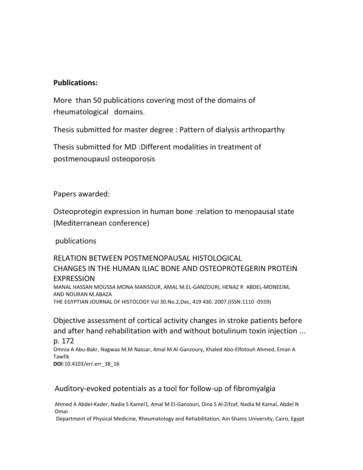### **Publications:**

More than 50 publications covering most of the domains of rheumatological domains.

Thesis submitted for master degree : Pattern of dialysis arthroparthy

Thesis submitted for MD :Different modalities in treatment of postmenoupausl osteoporosis

Papers awarded:

Osteoprotegin expression in human bone :relation to menopausal state (Mediterranean conference)

publications

## RELATION BETWEEN POSTMENOPAUSAL HISTOLOGICAL CHANGES IN THE HUMAN ILIAC BONE AND OSTEOPROTEGERIN PROTEIN EXPRESSION

MANAL HASSAN MOUSSA MONA MANSOUR, AMAL M.EL-GANZOURI, HENAZ R ABDEL-MONEEIM, AND NOURAN M.ABAZA THE EGYPTIAN JOURNAL OF HISTOLOGY Vol 30.No.2,Dec, 419 430. 2007.(ISSN:1110 -0559)

Objective assessment of cortical activity changes in stroke patients before and after hand rehabilitation with and without botulinum toxin injection ...

p. 172 Omnia A Abu-Bakr, Nagwaa M.M Nassar, Amal M Al-Ganzoury, Khaled Abo-Elfotouh Ahmed, Eman A Tawfik **DOI**:10.4103/err.err\_38\_16

### Auditory-evoked potentials as a tool for follow-up of fibromyalgia

[Ahmed A Abdel-Kader,](http://www.err.eg.net/searchresult.asp?search=&author=Ahmed+A+Abdel%2DKader&journal=Y&but_search=Search&entries=10&pg=1&s=0) [Nadia S Kamel1](http://www.err.eg.net/searchresult.asp?search=&author=Nadia+S+Kamel&journal=Y&but_search=Search&entries=10&pg=1&s=0)[, Amal M El-Ganzouri,](http://www.err.eg.net/searchresult.asp?search=&author=Amal+M+El%2DGanzouri&journal=Y&but_search=Search&entries=10&pg=1&s=0) [Dina S Al-Zifzaf,](http://www.err.eg.net/searchresult.asp?search=&author=Dina+S+Al%2DZifzaf&journal=Y&but_search=Search&entries=10&pg=1&s=0) [Nadia M Kamal,](http://www.err.eg.net/searchresult.asp?search=&author=Nadia+M+Kamal&journal=Y&but_search=Search&entries=10&pg=1&s=0) [Abdel N](http://www.err.eg.net/searchresult.asp?search=&author=Abdel+N+Omar&journal=Y&but_search=Search&entries=10&pg=1&s=0)  [Omar](http://www.err.eg.net/searchresult.asp?search=&author=Abdel+N+Omar&journal=Y&but_search=Search&entries=10&pg=1&s=0)

Department of Physical Medicine, Rheumatology and Rehabilitation, Ain Shams University, Cairo, Egypt